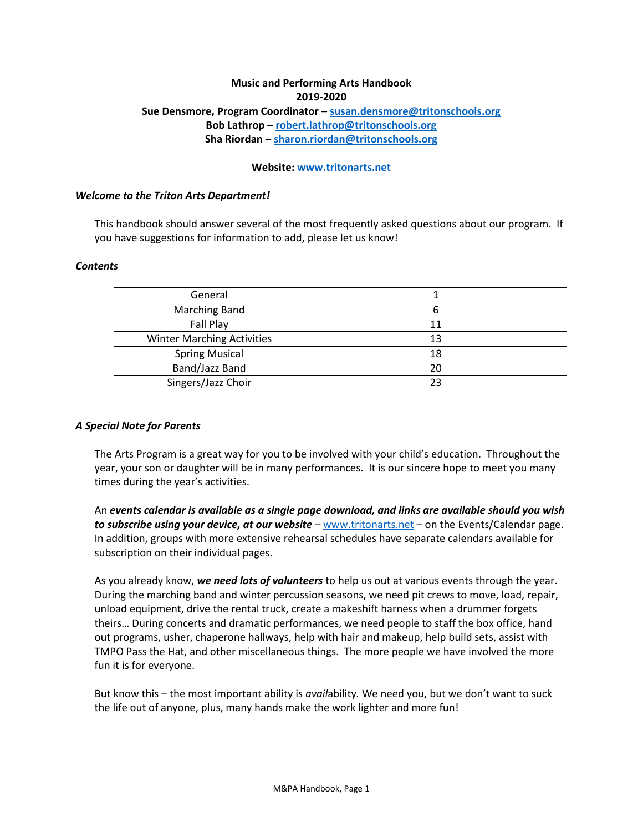# **Music and Performing Arts Handbook 2019-2020 Sue Densmore, Program Coordinator – [susan.densmore@tritonschools.org](mailto:susan.densmore@tritonschools.org) Bob Lathrop – [robert.lathrop@tritonschools.org](mailto:robert.lathrop@tritonschools.org) Sha Riordan – [sharon.riordan@tritonschools.org](mailto:sharon.riordan@tritonschools.org)**

## **Website: [www.tritonarts.net](http://www.tritonarts.net/)**

### *Welcome to the Triton Arts Department!*

This handbook should answer several of the most frequently asked questions about our program. If you have suggestions for information to add, please let us know!

### *Contents*

| General                           |    |
|-----------------------------------|----|
| <b>Marching Band</b>              |    |
| Fall Play                         |    |
| <b>Winter Marching Activities</b> | 13 |
| <b>Spring Musical</b>             | 18 |
| Band/Jazz Band                    | 20 |
| Singers/Jazz Choir                | つっ |

### *A Special Note for Parents*

The Arts Program is a great way for you to be involved with your child's education. Throughout the year, your son or daughter will be in many performances. It is our sincere hope to meet you many times during the year's activities.

An *events calendar is available as a single page download, and links are available should you wish to subscribe using your device, at our website* – [www.tritonarts.net](http://www.tritonarts.net/) – on the Events/Calendar page. In addition, groups with more extensive rehearsal schedules have separate calendars available for subscription on their individual pages.

As you already know, *we need lots of volunteers* to help us out at various events through the year. During the marching band and winter percussion seasons, we need pit crews to move, load, repair, unload equipment, drive the rental truck, create a makeshift harness when a drummer forgets theirs… During concerts and dramatic performances, we need people to staff the box office, hand out programs, usher, chaperone hallways, help with hair and makeup, help build sets, assist with TMPO Pass the Hat, and other miscellaneous things. The more people we have involved the more fun it is for everyone.

But know this – the most important ability is *avail*ability*.* We need you, but we don't want to suck the life out of anyone, plus, many hands make the work lighter and more fun!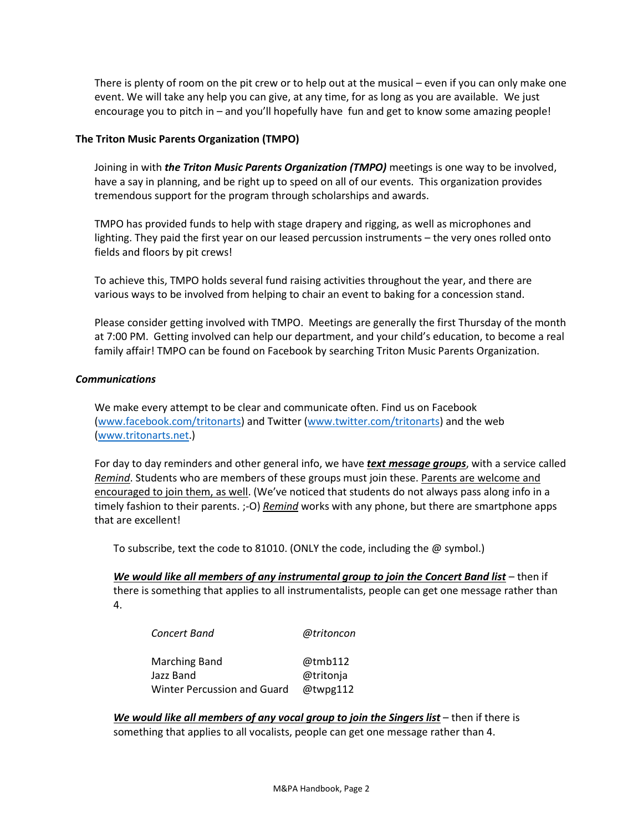There is plenty of room on the pit crew or to help out at the musical – even if you can only make one event. We will take any help you can give, at any time, for as long as you are available. We just encourage you to pitch in – and you'll hopefully have fun and get to know some amazing people!

# **The Triton Music Parents Organization (TMPO)**

Joining in with *the Triton Music Parents Organization (TMPO)* meetings is one way to be involved, have a say in planning, and be right up to speed on all of our events. This organization provides tremendous support for the program through scholarships and awards.

TMPO has provided funds to help with stage drapery and rigging, as well as microphones and lighting. They paid the first year on our leased percussion instruments – the very ones rolled onto fields and floors by pit crews!

To achieve this, TMPO holds several fund raising activities throughout the year, and there are various ways to be involved from helping to chair an event to baking for a concession stand.

Please consider getting involved with TMPO. Meetings are generally the first Thursday of the month at 7:00 PM. Getting involved can help our department, and your child's education, to become a real family affair! TMPO can be found on Facebook by searching Triton Music Parents Organization.

## *Communications*

We make every attempt to be clear and communicate often. Find us on Facebook [\(www.facebook.com/tritonarts\)](http://www.facebook.com/tritonarts) and Twitter [\(www.twitter.com/tritonarts\)](http://www.twitter.com/tritonarts) and the web [\(www.tritonarts.net.](http://www.tritonarts.net/))

For day to day reminders and other general info, we have *text message groups*, with a service called *Remind*. Students who are members of these groups must join these. Parents are welcome and encouraged to join them, as well. (We've noticed that students do not always pass along info in a timely fashion to their parents. ;-O) *Remind* works with any phone, but there are smartphone apps that are excellent!

To subscribe, text the code to 81010. (ONLY the code, including the @ symbol.)

*We would like all members of any instrumental group to join the Concert Band list* **– then if** there is something that applies to all instrumentalists, people can get one message rather than 4.

| Concert Band                | @tritoncon |
|-----------------------------|------------|
| Marching Band               | @tmb112    |
| Jazz Band                   | @tritonja  |
| Winter Percussion and Guard | @twpg112   |

*We would like all members of any vocal group to join the Singers list* – then if there is something that applies to all vocalists, people can get one message rather than 4.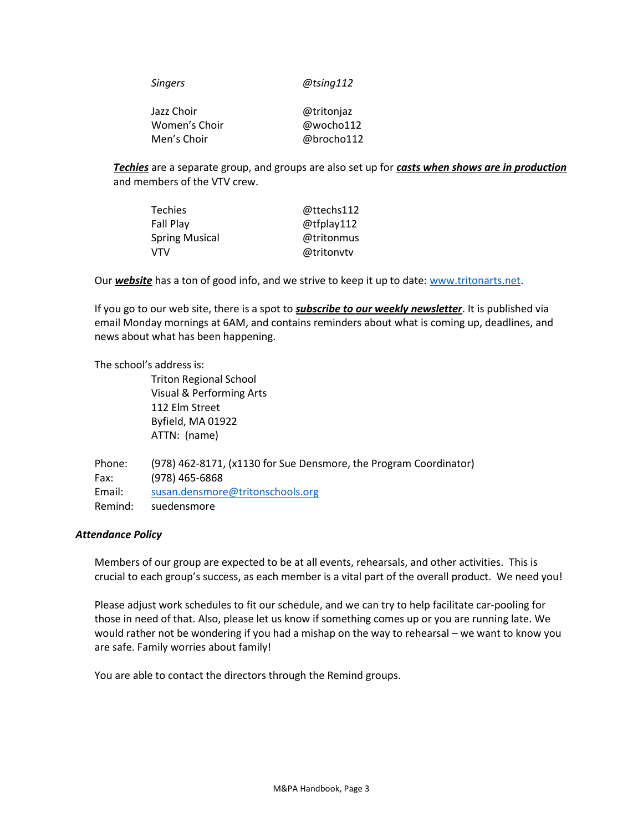| Singers | @tsing112 |
|---------|-----------|
|         |           |

| Jazz Choir    | @tritonjaz |
|---------------|------------|
| Women's Choir | @wocho112  |
| Men's Choir   | @brocho112 |

*Techies* are a separate group, and groups are also set up for *casts when shows are in production* and members of the VTV crew.

| <b>Techies</b>        | @ttechs112 |
|-----------------------|------------|
| Fall Play             | @tfplay112 |
| <b>Spring Musical</b> | @tritonmus |
| VTV                   | @tritonvtv |

Our *website* has a ton of good info, and we strive to keep it up to date: [www.tritonarts.net.](http://www.tritonarts.net/)

If you go to our web site, there is a spot to *subscribe to our weekly newsletter*. It is published via email Monday mornings at 6AM, and contains reminders about what is coming up, deadlines, and news about what has been happening.

# The school's address is:

Triton Regional School Visual & Performing Arts 112 Elm Street Byfield, MA 01922 ATTN: (name)

Phone: (978) 462-8171, (x1130 for Sue Densmore, the Program Coordinator) Fax: (978) 465-6868 Email: [susan.densmore@tritonschools.org](mailto:susan.densmore@tritonschools.org) Remind: suedensmore

# *Attendance Policy*

Members of our group are expected to be at all events, rehearsals, and other activities. This is crucial to each group's success, as each member is a vital part of the overall product. We need you!

Please adjust work schedules to fit our schedule, and we can try to help facilitate car-pooling for those in need of that. Also, please let us know if something comes up or you are running late. We would rather not be wondering if you had a mishap on the way to rehearsal – we want to know you are safe. Family worries about family!

You are able to contact the directors through the Remind groups.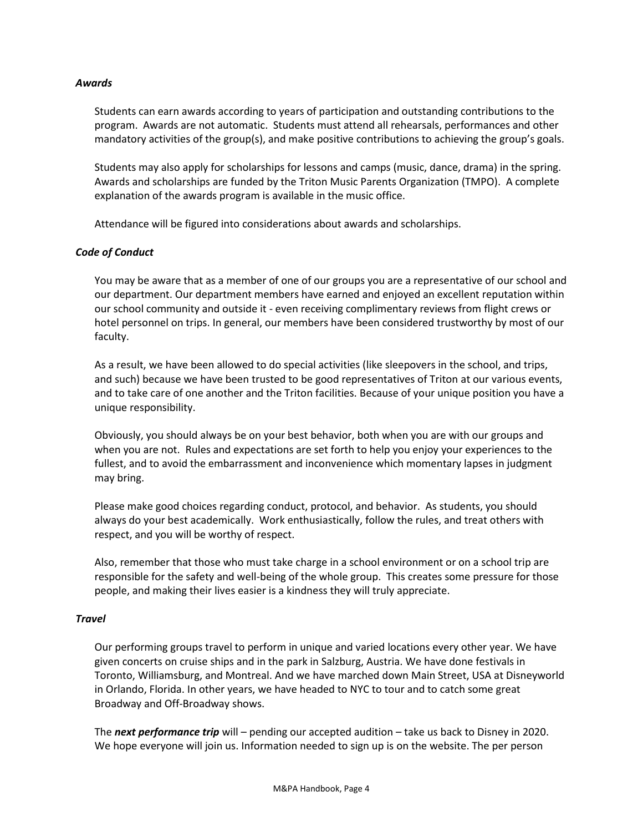## *Awards*

Students can earn awards according to years of participation and outstanding contributions to the program. Awards are not automatic. Students must attend all rehearsals, performances and other mandatory activities of the group(s), and make positive contributions to achieving the group's goals.

Students may also apply for scholarships for lessons and camps (music, dance, drama) in the spring. Awards and scholarships are funded by the Triton Music Parents Organization (TMPO). A complete explanation of the awards program is available in the music office.

Attendance will be figured into considerations about awards and scholarships.

## *Code of Conduct*

You may be aware that as a member of one of our groups you are a representative of our school and our department. Our department members have earned and enjoyed an excellent reputation within our school community and outside it - even receiving complimentary reviews from flight crews or hotel personnel on trips. In general, our members have been considered trustworthy by most of our faculty.

As a result, we have been allowed to do special activities (like sleepovers in the school, and trips, and such) because we have been trusted to be good representatives of Triton at our various events, and to take care of one another and the Triton facilities. Because of your unique position you have a unique responsibility.

Obviously, you should always be on your best behavior, both when you are with our groups and when you are not. Rules and expectations are set forth to help you enjoy your experiences to the fullest, and to avoid the embarrassment and inconvenience which momentary lapses in judgment may bring.

Please make good choices regarding conduct, protocol, and behavior. As students, you should always do your best academically. Work enthusiastically, follow the rules, and treat others with respect, and you will be worthy of respect.

Also, remember that those who must take charge in a school environment or on a school trip are responsible for the safety and well-being of the whole group. This creates some pressure for those people, and making their lives easier is a kindness they will truly appreciate.

### *Travel*

Our performing groups travel to perform in unique and varied locations every other year. We have given concerts on cruise ships and in the park in Salzburg, Austria. We have done festivals in Toronto, Williamsburg, and Montreal. And we have marched down Main Street, USA at Disneyworld in Orlando, Florida. In other years, we have headed to NYC to tour and to catch some great Broadway and Off-Broadway shows.

The *next performance trip* will – pending our accepted audition – take us back to Disney in 2020. We hope everyone will join us. Information needed to sign up is on the website. The per person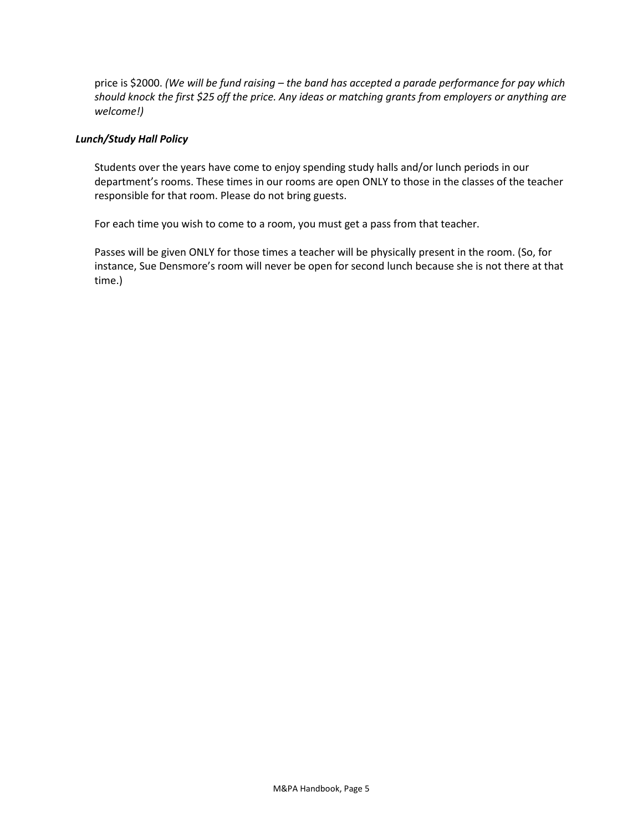price is \$2000. *(We will be fund raising – the band has accepted a parade performance for pay which should knock the first \$25 off the price. Any ideas or matching grants from employers or anything are welcome!)*

## *Lunch/Study Hall Policy*

Students over the years have come to enjoy spending study halls and/or lunch periods in our department's rooms. These times in our rooms are open ONLY to those in the classes of the teacher responsible for that room. Please do not bring guests.

For each time you wish to come to a room, you must get a pass from that teacher.

Passes will be given ONLY for those times a teacher will be physically present in the room. (So, for instance, Sue Densmore's room will never be open for second lunch because she is not there at that time.)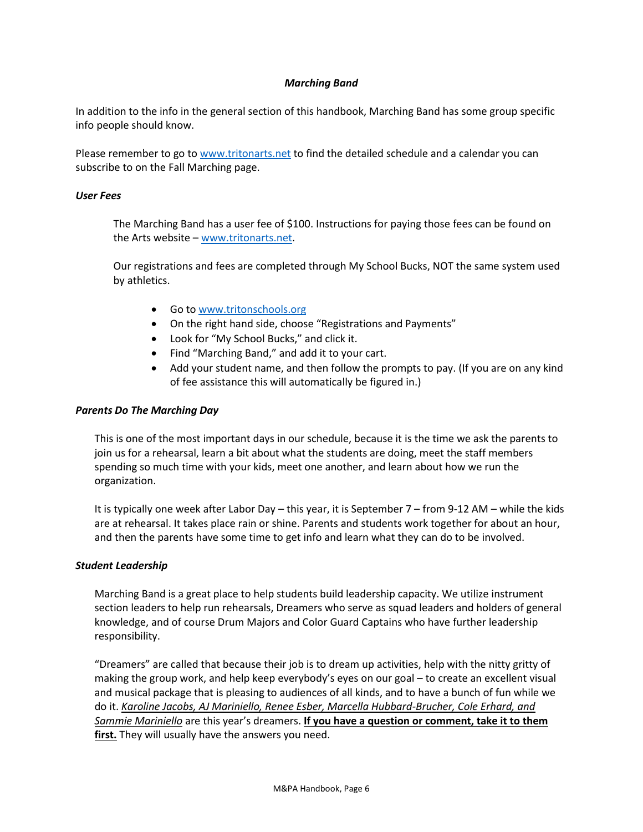# *Marching Band*

In addition to the info in the general section of this handbook, Marching Band has some group specific info people should know.

Please remember to go t[o www.tritonarts.net](http://www.tritonarts.net/) to find the detailed schedule and a calendar you can subscribe to on the Fall Marching page.

# *User Fees*

The Marching Band has a user fee of \$100. Instructions for paying those fees can be found on the Arts website – [www.tritonarts.net.](http://www.tritonarts.net/)

Our registrations and fees are completed through My School Bucks, NOT the same system used by athletics.

- Go to [www.tritonschools.org](http://www.tritonschools.org/)
- On the right hand side, choose "Registrations and Payments"
- Look for "My School Bucks," and click it.
- Find "Marching Band," and add it to your cart.
- Add your student name, and then follow the prompts to pay. (If you are on any kind of fee assistance this will automatically be figured in.)

# *Parents Do The Marching Day*

This is one of the most important days in our schedule, because it is the time we ask the parents to join us for a rehearsal, learn a bit about what the students are doing, meet the staff members spending so much time with your kids, meet one another, and learn about how we run the organization.

It is typically one week after Labor Day – this year, it is September 7 – from 9-12 AM – while the kids are at rehearsal. It takes place rain or shine. Parents and students work together for about an hour, and then the parents have some time to get info and learn what they can do to be involved.

# *Student Leadership*

Marching Band is a great place to help students build leadership capacity. We utilize instrument section leaders to help run rehearsals, Dreamers who serve as squad leaders and holders of general knowledge, and of course Drum Majors and Color Guard Captains who have further leadership responsibility.

"Dreamers" are called that because their job is to dream up activities, help with the nitty gritty of making the group work, and help keep everybody's eyes on our goal – to create an excellent visual and musical package that is pleasing to audiences of all kinds, and to have a bunch of fun while we do it. *Karoline Jacobs, AJ Mariniello, Renee Esber, Marcella Hubbard-Brucher, Cole Erhard, and Sammie Mariniello* are this year's dreamers. **If you have a question or comment, take it to them first.** They will usually have the answers you need.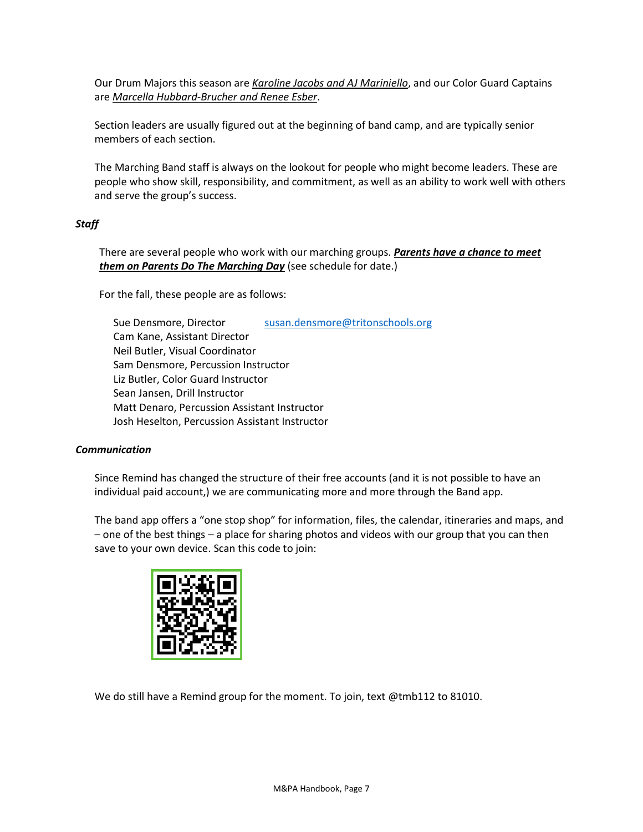Our Drum Majors this season are *Karoline Jacobs and AJ Mariniello*, and our Color Guard Captains are *Marcella Hubbard-Brucher and Renee Esber*.

Section leaders are usually figured out at the beginning of band camp, and are typically senior members of each section.

The Marching Band staff is always on the lookout for people who might become leaders. These are people who show skill, responsibility, and commitment, as well as an ability to work well with others and serve the group's success.

# *Staff*

There are several people who work with our marching groups. *Parents have a chance to meet them on Parents Do The Marching Day* (see schedule for date.)

For the fall, these people are as follows:

Sue Densmore, Director [susan.densmore@tritonschools.org](mailto:susan.densmore@tritonschools.org) Cam Kane, Assistant Director Neil Butler, Visual Coordinator Sam Densmore, Percussion Instructor Liz Butler, Color Guard Instructor Sean Jansen, Drill Instructor Matt Denaro, Percussion Assistant Instructor Josh Heselton, Percussion Assistant Instructor

# *Communication*

Since Remind has changed the structure of their free accounts (and it is not possible to have an individual paid account,) we are communicating more and more through the Band app.

The band app offers a "one stop shop" for information, files, the calendar, itineraries and maps, and – one of the best things – a place for sharing photos and videos with our group that you can then save to your own device. Scan this code to join:



We do still have a Remind group for the moment. To join, text @tmb112 to 81010.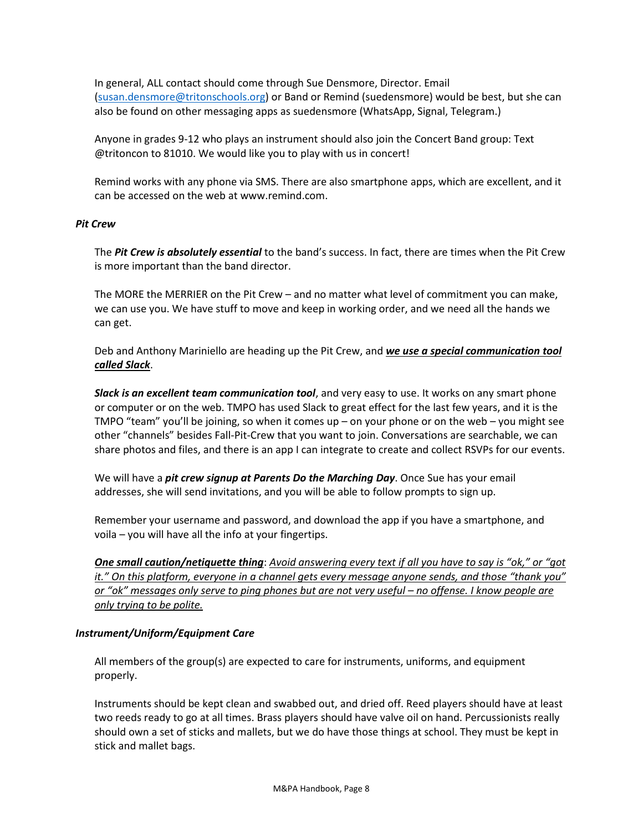In general, ALL contact should come through Sue Densmore, Director. Email [\(susan.densmore@tritonschools.org\)](mailto:susan.densmore@tritonschools.org) or Band or Remind (suedensmore) would be best, but she can also be found on other messaging apps as suedensmore (WhatsApp, Signal, Telegram.)

Anyone in grades 9-12 who plays an instrument should also join the Concert Band group: Text @tritoncon to 81010. We would like you to play with us in concert!

Remind works with any phone via SMS. There are also smartphone apps, which are excellent, and it can be accessed on the web at www.remind.com.

# *Pit Crew*

The *Pit Crew is absolutely essential* to the band's success. In fact, there are times when the Pit Crew is more important than the band director.

The MORE the MERRIER on the Pit Crew – and no matter what level of commitment you can make, we can use you. We have stuff to move and keep in working order, and we need all the hands we can get.

Deb and Anthony Mariniello are heading up the Pit Crew, and *we use a special communication tool called Slack*.

*Slack is an excellent team communication tool*, and very easy to use. It works on any smart phone or computer or on the web. TMPO has used Slack to great effect for the last few years, and it is the TMPO "team" you'll be joining, so when it comes up – on your phone or on the web – you might see other "channels" besides Fall-Pit-Crew that you want to join. Conversations are searchable, we can share photos and files, and there is an app I can integrate to create and collect RSVPs for our events.

We will have a *pit crew signup at Parents Do the Marching Day*. Once Sue has your email addresses, she will send invitations, and you will be able to follow prompts to sign up.

Remember your username and password, and download the app if you have a smartphone, and voila – you will have all the info at your fingertips.

*One small caution/netiquette thing*: *Avoid answering every text if all you have to say is "ok," or "got it." On this platform, everyone in a channel gets every message anyone sends, and those "thank you" or "ok" messages only serve to ping phones but are not very useful – no offense. I know people are only trying to be polite.*

### *Instrument/Uniform/Equipment Care*

All members of the group(s) are expected to care for instruments, uniforms, and equipment properly.

Instruments should be kept clean and swabbed out, and dried off. Reed players should have at least two reeds ready to go at all times. Brass players should have valve oil on hand. Percussionists really should own a set of sticks and mallets, but we do have those things at school. They must be kept in stick and mallet bags.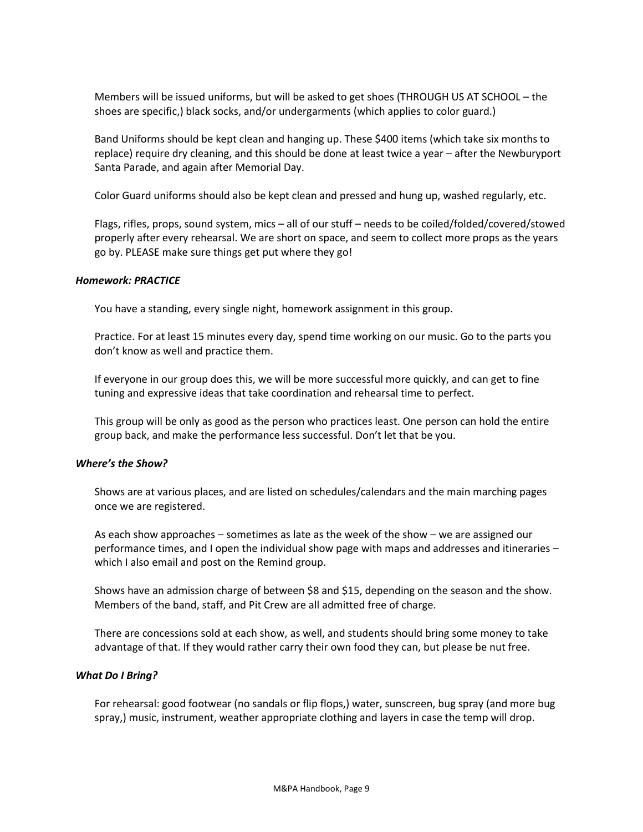Members will be issued uniforms, but will be asked to get shoes (THROUGH US AT SCHOOL – the shoes are specific,) black socks, and/or undergarments (which applies to color guard.)

Band Uniforms should be kept clean and hanging up. These \$400 items (which take six months to replace) require dry cleaning, and this should be done at least twice a year – after the Newburyport Santa Parade, and again after Memorial Day.

Color Guard uniforms should also be kept clean and pressed and hung up, washed regularly, etc.

Flags, rifles, props, sound system, mics – all of our stuff – needs to be coiled/folded/covered/stowed properly after every rehearsal. We are short on space, and seem to collect more props as the years go by. PLEASE make sure things get put where they go!

### *Homework: PRACTICE*

You have a standing, every single night, homework assignment in this group.

Practice. For at least 15 minutes every day, spend time working on our music. Go to the parts you don't know as well and practice them.

If everyone in our group does this, we will be more successful more quickly, and can get to fine tuning and expressive ideas that take coordination and rehearsal time to perfect.

This group will be only as good as the person who practices least. One person can hold the entire group back, and make the performance less successful. Don't let that be you.

### *Where's the Show?*

Shows are at various places, and are listed on schedules/calendars and the main marching pages once we are registered.

As each show approaches – sometimes as late as the week of the show – we are assigned our performance times, and I open the individual show page with maps and addresses and itineraries – which I also email and post on the Remind group.

Shows have an admission charge of between \$8 and \$15, depending on the season and the show. Members of the band, staff, and Pit Crew are all admitted free of charge.

There are concessions sold at each show, as well, and students should bring some money to take advantage of that. If they would rather carry their own food they can, but please be nut free.

### *What Do I Bring?*

For rehearsal: good footwear (no sandals or flip flops,) water, sunscreen, bug spray (and more bug spray,) music, instrument, weather appropriate clothing and layers in case the temp will drop.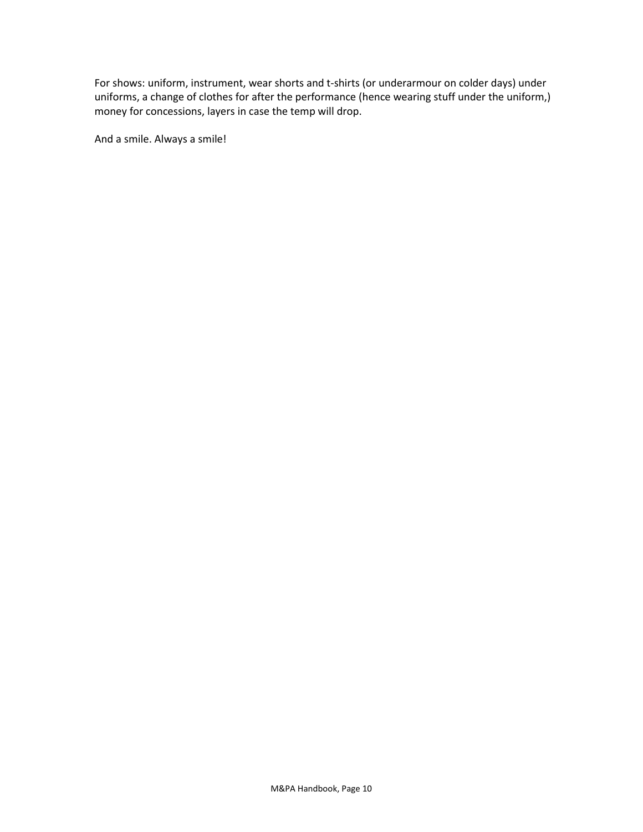For shows: uniform, instrument, wear shorts and t-shirts (or underarmour on colder days) under uniforms, a change of clothes for after the performance (hence wearing stuff under the uniform,) money for concessions, layers in case the temp will drop.

And a smile. Always a smile!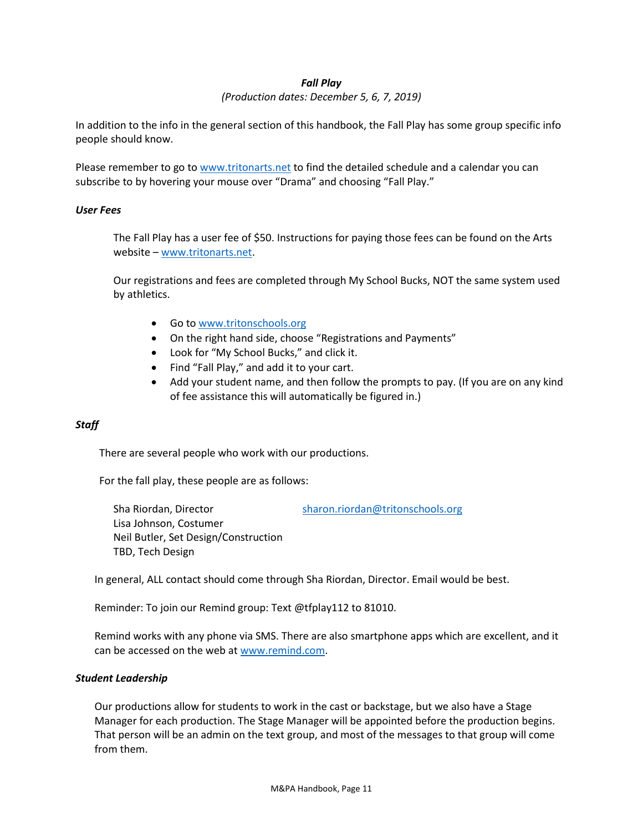# *Fall Play*

## *(Production dates: December 5, 6, 7, 2019)*

In addition to the info in the general section of this handbook, the Fall Play has some group specific info people should know.

Please remember to go t[o www.tritonarts.net](http://www.tritonarts.net/) to find the detailed schedule and a calendar you can subscribe to by hovering your mouse over "Drama" and choosing "Fall Play."

#### *User Fees*

The Fall Play has a user fee of \$50. Instructions for paying those fees can be found on the Arts website – [www.tritonarts.net.](http://www.tritonarts.net/)

Our registrations and fees are completed through My School Bucks, NOT the same system used by athletics.

- Go to [www.tritonschools.org](http://www.tritonschools.org/)
- On the right hand side, choose "Registrations and Payments"
- Look for "My School Bucks," and click it.
- Find "Fall Play," and add it to your cart.
- Add your student name, and then follow the prompts to pay. (If you are on any kind of fee assistance this will automatically be figured in.)

## *Staff*

There are several people who work with our productions.

For the fall play, these people are as follows:

Sha Riordan, Director [sharon.riordan@tritonschools.org](mailto:sharon.riordan@tritonschools.org) Lisa Johnson, Costumer Neil Butler, Set Design/Construction TBD, Tech Design

In general, ALL contact should come through Sha Riordan, Director. Email would be best.

Reminder: To join our Remind group: Text @tfplay112 to 81010.

Remind works with any phone via SMS. There are also smartphone apps which are excellent, and it can be accessed on the web at [www.remind.com.](http://www.remind.com/)

### *Student Leadership*

Our productions allow for students to work in the cast or backstage, but we also have a Stage Manager for each production. The Stage Manager will be appointed before the production begins. That person will be an admin on the text group, and most of the messages to that group will come from them.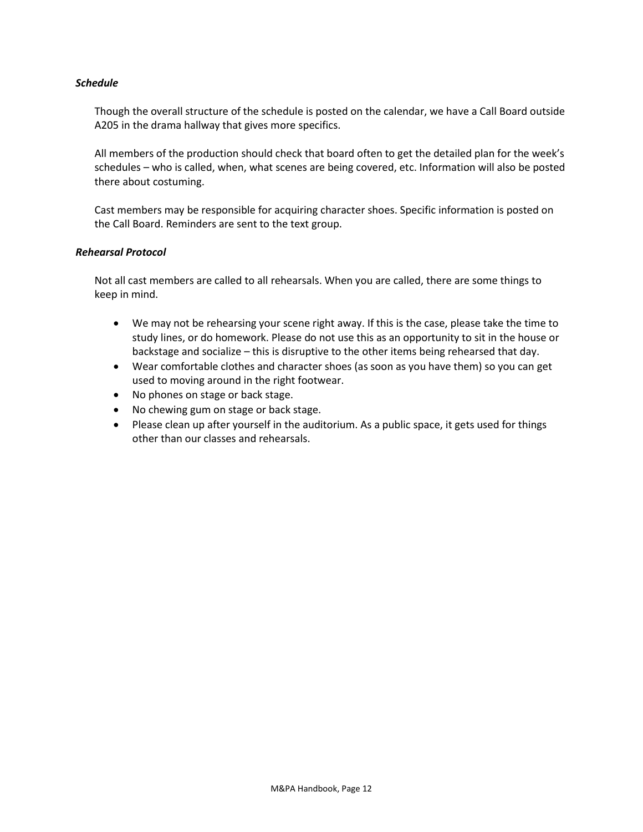## *Schedule*

Though the overall structure of the schedule is posted on the calendar, we have a Call Board outside A205 in the drama hallway that gives more specifics.

All members of the production should check that board often to get the detailed plan for the week's schedules – who is called, when, what scenes are being covered, etc. Information will also be posted there about costuming.

Cast members may be responsible for acquiring character shoes. Specific information is posted on the Call Board. Reminders are sent to the text group.

### *Rehearsal Protocol*

Not all cast members are called to all rehearsals. When you are called, there are some things to keep in mind.

- We may not be rehearsing your scene right away. If this is the case, please take the time to study lines, or do homework. Please do not use this as an opportunity to sit in the house or backstage and socialize – this is disruptive to the other items being rehearsed that day.
- Wear comfortable clothes and character shoes (as soon as you have them) so you can get used to moving around in the right footwear.
- No phones on stage or back stage.
- No chewing gum on stage or back stage.
- Please clean up after yourself in the auditorium. As a public space, it gets used for things other than our classes and rehearsals.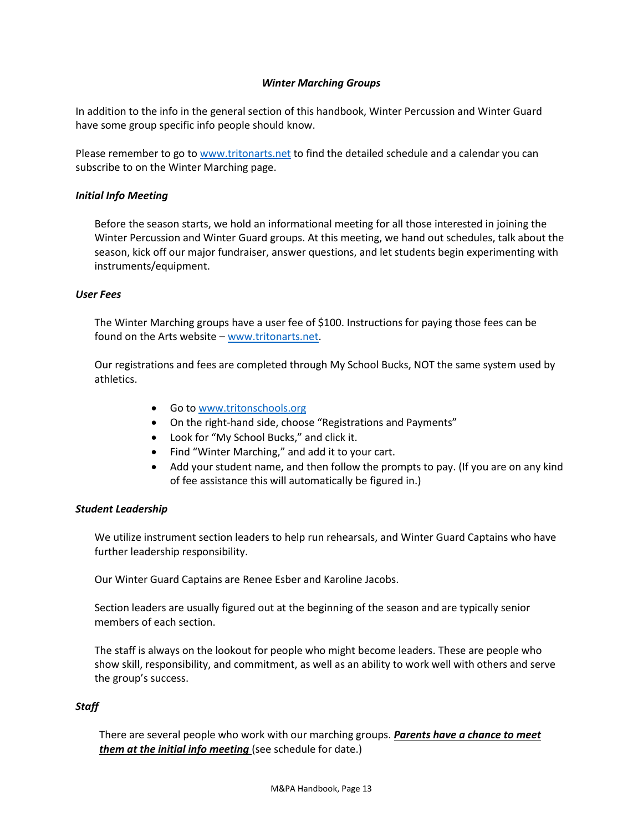# *Winter Marching Groups*

In addition to the info in the general section of this handbook, Winter Percussion and Winter Guard have some group specific info people should know.

Please remember to go t[o www.tritonarts.net](http://www.tritonarts.net/) to find the detailed schedule and a calendar you can subscribe to on the Winter Marching page.

# *Initial Info Meeting*

Before the season starts, we hold an informational meeting for all those interested in joining the Winter Percussion and Winter Guard groups. At this meeting, we hand out schedules, talk about the season, kick off our major fundraiser, answer questions, and let students begin experimenting with instruments/equipment.

## *User Fees*

The Winter Marching groups have a user fee of \$100. Instructions for paying those fees can be found on the Arts website – [www.tritonarts.net.](http://www.tritonarts.net/)

Our registrations and fees are completed through My School Bucks, NOT the same system used by athletics.

- Go to [www.tritonschools.org](http://www.tritonschools.org/)
- On the right-hand side, choose "Registrations and Payments"
- Look for "My School Bucks," and click it.
- Find "Winter Marching," and add it to your cart.
- Add your student name, and then follow the prompts to pay. (If you are on any kind of fee assistance this will automatically be figured in.)

# *Student Leadership*

We utilize instrument section leaders to help run rehearsals, and Winter Guard Captains who have further leadership responsibility.

Our Winter Guard Captains are Renee Esber and Karoline Jacobs.

Section leaders are usually figured out at the beginning of the season and are typically senior members of each section.

The staff is always on the lookout for people who might become leaders. These are people who show skill, responsibility, and commitment, as well as an ability to work well with others and serve the group's success.

# *Staff*

There are several people who work with our marching groups. *Parents have a chance to meet them at the initial info meeting* (see schedule for date.)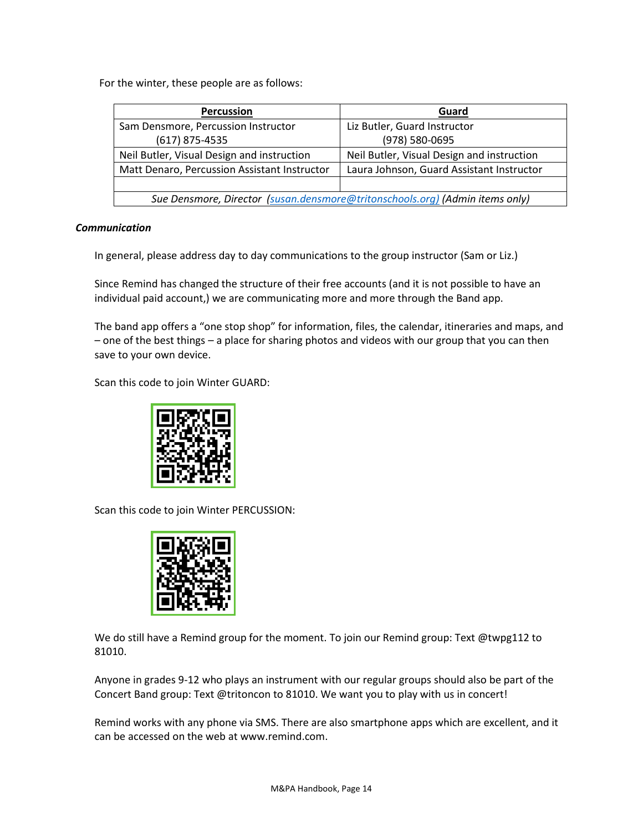For the winter, these people are as follows:

| Percussion                                                                   | Guard                                      |  |
|------------------------------------------------------------------------------|--------------------------------------------|--|
| Sam Densmore, Percussion Instructor                                          | Liz Butler, Guard Instructor               |  |
| $(617)$ 875-4535                                                             | (978) 580-0695                             |  |
| Neil Butler, Visual Design and instruction                                   | Neil Butler, Visual Design and instruction |  |
| Matt Denaro, Percussion Assistant Instructor                                 | Laura Johnson, Guard Assistant Instructor  |  |
|                                                                              |                                            |  |
| Sue Densmore, Director (susan.densmore@tritonschools.org) (Admin items only) |                                            |  |

# *Communication*

In general, please address day to day communications to the group instructor (Sam or Liz.)

Since Remind has changed the structure of their free accounts (and it is not possible to have an individual paid account,) we are communicating more and more through the Band app.

The band app offers a "one stop shop" for information, files, the calendar, itineraries and maps, and – one of the best things – a place for sharing photos and videos with our group that you can then save to your own device.

Scan this code to join Winter GUARD:



Scan this code to join Winter PERCUSSION:



We do still have a Remind group for the moment. To join our Remind group: Text @twpg112 to 81010.

Anyone in grades 9-12 who plays an instrument with our regular groups should also be part of the Concert Band group: Text @tritoncon to 81010. We want you to play with us in concert!

Remind works with any phone via SMS. There are also smartphone apps which are excellent, and it can be accessed on the web at www.remind.com.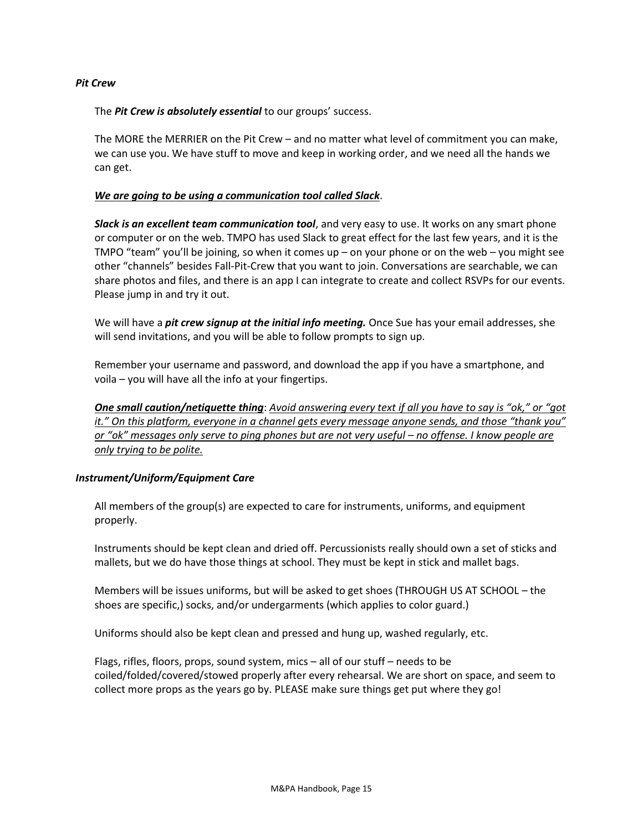## *Pit Crew*

The *Pit Crew is absolutely essential* to our groups' success.

The MORE the MERRIER on the Pit Crew – and no matter what level of commitment you can make, we can use you. We have stuff to move and keep in working order, and we need all the hands we can get.

## *We are going to be using a communication tool called Slack*.

*Slack is an excellent team communication tool*, and very easy to use. It works on any smart phone or computer or on the web. TMPO has used Slack to great effect for the last few years, and it is the TMPO "team" you'll be joining, so when it comes up – on your phone or on the web – you might see other "channels" besides Fall-Pit-Crew that you want to join. Conversations are searchable, we can share photos and files, and there is an app I can integrate to create and collect RSVPs for our events. Please jump in and try it out.

We will have a *pit crew signup at the initial info meeting.* Once Sue has your email addresses, she will send invitations, and you will be able to follow prompts to sign up.

Remember your username and password, and download the app if you have a smartphone, and voila – you will have all the info at your fingertips.

*One small caution/netiquette thing*: *Avoid answering every text if all you have to say is "ok," or "got it." On this platform, everyone in a channel gets every message anyone sends, and those "thank you" or "ok" messages only serve to ping phones but are not very useful – no offense. I know people are only trying to be polite.*

### *Instrument/Uniform/Equipment Care*

All members of the group(s) are expected to care for instruments, uniforms, and equipment properly.

Instruments should be kept clean and dried off. Percussionists really should own a set of sticks and mallets, but we do have those things at school. They must be kept in stick and mallet bags.

Members will be issues uniforms, but will be asked to get shoes (THROUGH US AT SCHOOL – the shoes are specific,) socks, and/or undergarments (which applies to color guard.)

Uniforms should also be kept clean and pressed and hung up, washed regularly, etc.

Flags, rifles, floors, props, sound system, mics – all of our stuff – needs to be coiled/folded/covered/stowed properly after every rehearsal. We are short on space, and seem to collect more props as the years go by. PLEASE make sure things get put where they go!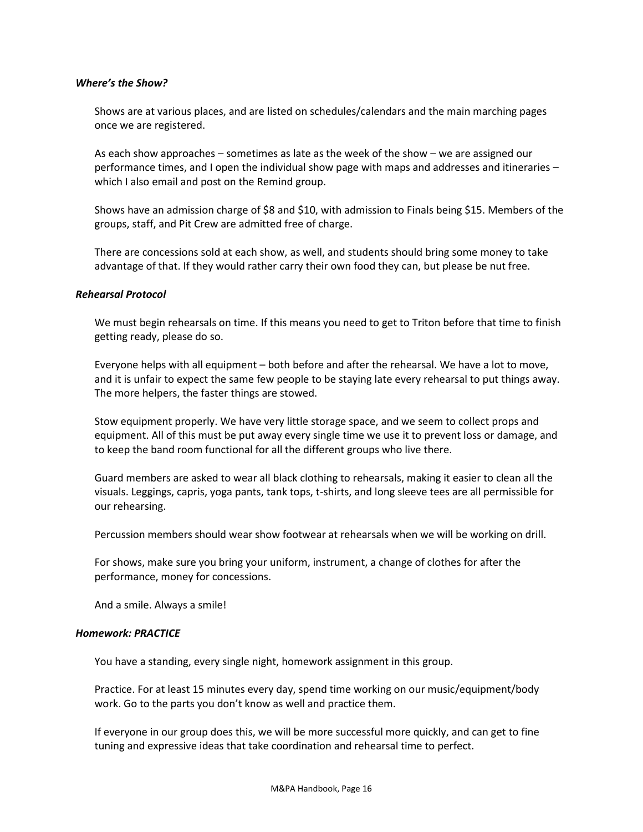#### *Where's the Show?*

Shows are at various places, and are listed on schedules/calendars and the main marching pages once we are registered.

As each show approaches – sometimes as late as the week of the show – we are assigned our performance times, and I open the individual show page with maps and addresses and itineraries – which I also email and post on the Remind group.

Shows have an admission charge of \$8 and \$10, with admission to Finals being \$15. Members of the groups, staff, and Pit Crew are admitted free of charge.

There are concessions sold at each show, as well, and students should bring some money to take advantage of that. If they would rather carry their own food they can, but please be nut free.

#### *Rehearsal Protocol*

We must begin rehearsals on time. If this means you need to get to Triton before that time to finish getting ready, please do so.

Everyone helps with all equipment – both before and after the rehearsal. We have a lot to move, and it is unfair to expect the same few people to be staying late every rehearsal to put things away. The more helpers, the faster things are stowed.

Stow equipment properly. We have very little storage space, and we seem to collect props and equipment. All of this must be put away every single time we use it to prevent loss or damage, and to keep the band room functional for all the different groups who live there.

Guard members are asked to wear all black clothing to rehearsals, making it easier to clean all the visuals. Leggings, capris, yoga pants, tank tops, t-shirts, and long sleeve tees are all permissible for our rehearsing.

Percussion members should wear show footwear at rehearsals when we will be working on drill.

For shows, make sure you bring your uniform, instrument, a change of clothes for after the performance, money for concessions.

And a smile. Always a smile!

#### *Homework: PRACTICE*

You have a standing, every single night, homework assignment in this group.

Practice. For at least 15 minutes every day, spend time working on our music/equipment/body work. Go to the parts you don't know as well and practice them.

If everyone in our group does this, we will be more successful more quickly, and can get to fine tuning and expressive ideas that take coordination and rehearsal time to perfect.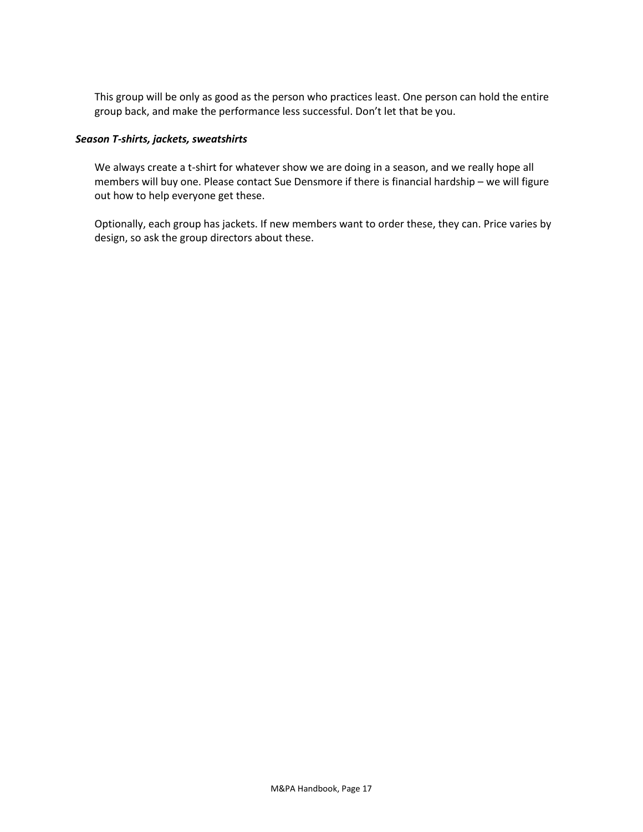This group will be only as good as the person who practices least. One person can hold the entire group back, and make the performance less successful. Don't let that be you.

## *Season T-shirts, jackets, sweatshirts*

We always create a t-shirt for whatever show we are doing in a season, and we really hope all members will buy one. Please contact Sue Densmore if there is financial hardship – we will figure out how to help everyone get these.

Optionally, each group has jackets. If new members want to order these, they can. Price varies by design, so ask the group directors about these.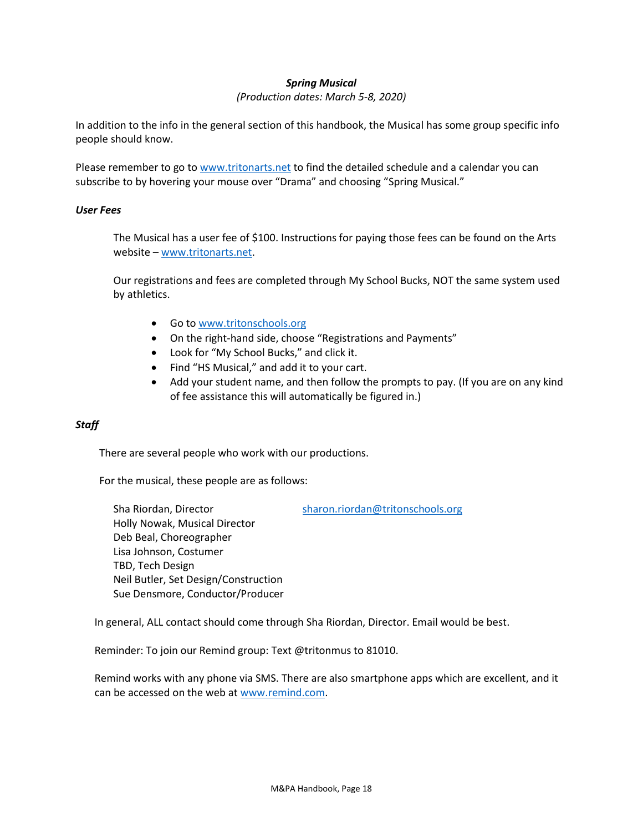# *Spring Musical*

## *(Production dates: March 5-8, 2020)*

In addition to the info in the general section of this handbook, the Musical has some group specific info people should know.

Please remember to go t[o www.tritonarts.net](http://www.tritonarts.net/) to find the detailed schedule and a calendar you can subscribe to by hovering your mouse over "Drama" and choosing "Spring Musical."

#### *User Fees*

The Musical has a user fee of \$100. Instructions for paying those fees can be found on the Arts website – [www.tritonarts.net.](http://www.tritonarts.net/)

Our registrations and fees are completed through My School Bucks, NOT the same system used by athletics.

- Go to [www.tritonschools.org](http://www.tritonschools.org/)
- On the right-hand side, choose "Registrations and Payments"
- Look for "My School Bucks," and click it.
- Find "HS Musical," and add it to your cart.
- Add your student name, and then follow the prompts to pay. (If you are on any kind of fee assistance this will automatically be figured in.)

## *Staff*

There are several people who work with our productions.

For the musical, these people are as follows:

Sha Riordan, Director [sharon.riordan@tritonschools.org](mailto:sharon.riordan@tritonschools.org) Holly Nowak, Musical Director Deb Beal, Choreographer Lisa Johnson, Costumer TBD, Tech Design Neil Butler, Set Design/Construction Sue Densmore, Conductor/Producer

In general, ALL contact should come through Sha Riordan, Director. Email would be best.

Reminder: To join our Remind group: Text @tritonmus to 81010.

Remind works with any phone via SMS. There are also smartphone apps which are excellent, and it can be accessed on the web at [www.remind.com.](http://www.remind.com/)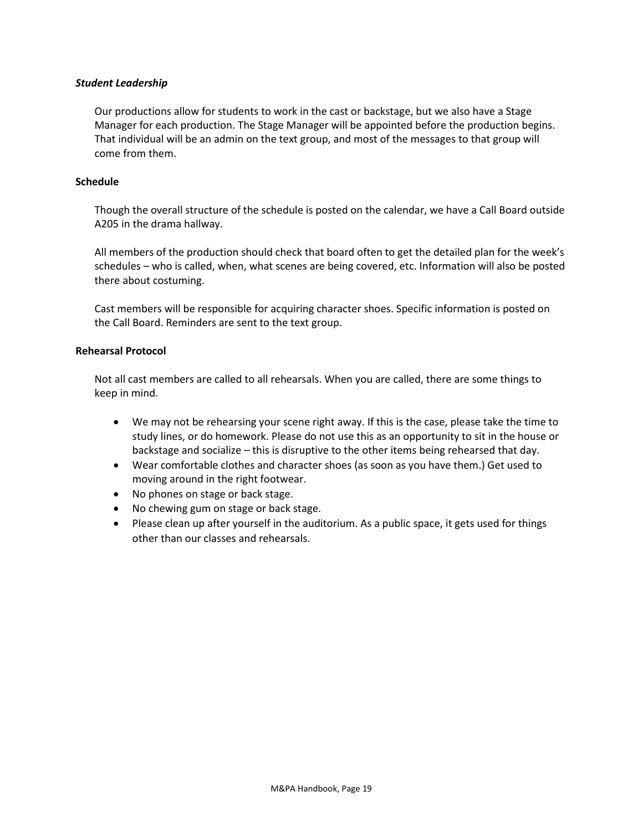## *Student Leadership*

Our productions allow for students to work in the cast or backstage, but we also have a Stage Manager for each production. The Stage Manager will be appointed before the production begins. That individual will be an admin on the text group, and most of the messages to that group will come from them.

## **Schedule**

Though the overall structure of the schedule is posted on the calendar, we have a Call Board outside A205 in the drama hallway.

All members of the production should check that board often to get the detailed plan for the week's schedules – who is called, when, what scenes are being covered, etc. Information will also be posted there about costuming.

Cast members will be responsible for acquiring character shoes. Specific information is posted on the Call Board. Reminders are sent to the text group.

### **Rehearsal Protocol**

Not all cast members are called to all rehearsals. When you are called, there are some things to keep in mind.

- We may not be rehearsing your scene right away. If this is the case, please take the time to study lines, or do homework. Please do not use this as an opportunity to sit in the house or backstage and socialize – this is disruptive to the other items being rehearsed that day.
- Wear comfortable clothes and character shoes (as soon as you have them.) Get used to moving around in the right footwear.
- No phones on stage or back stage.
- No chewing gum on stage or back stage.
- Please clean up after yourself in the auditorium. As a public space, it gets used for things other than our classes and rehearsals.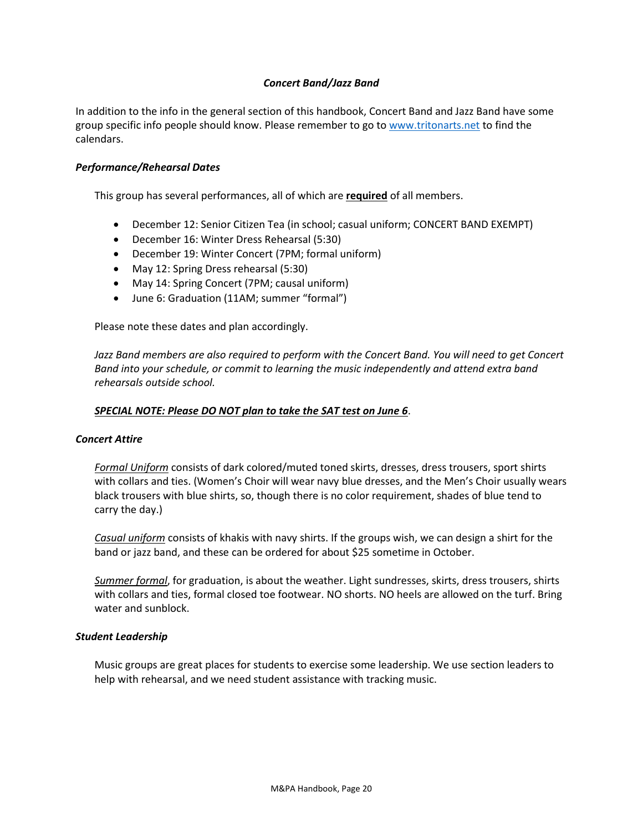# *Concert Band/Jazz Band*

In addition to the info in the general section of this handbook, Concert Band and Jazz Band have some group specific info people should know. Please remember to go t[o www.tritonarts.net](http://www.tritonarts.net/) to find the calendars.

# *Performance/Rehearsal Dates*

This group has several performances, all of which are **required** of all members.

- December 12: Senior Citizen Tea (in school; casual uniform; CONCERT BAND EXEMPT)
- December 16: Winter Dress Rehearsal (5:30)
- December 19: Winter Concert (7PM; formal uniform)
- May 12: Spring Dress rehearsal (5:30)
- May 14: Spring Concert (7PM; causal uniform)
- June 6: Graduation (11AM; summer "formal")

Please note these dates and plan accordingly.

*Jazz Band members are also required to perform with the Concert Band. You will need to get Concert Band into your schedule, or commit to learning the music independently and attend extra band rehearsals outside school.* 

# *SPECIAL NOTE: Please DO NOT plan to take the SAT test on June 6*.

# *Concert Attire*

*Formal Uniform* consists of dark colored/muted toned skirts, dresses, dress trousers, sport shirts with collars and ties. (Women's Choir will wear navy blue dresses, and the Men's Choir usually wears black trousers with blue shirts, so, though there is no color requirement, shades of blue tend to carry the day.)

*Casual uniform* consists of khakis with navy shirts. If the groups wish, we can design a shirt for the band or jazz band, and these can be ordered for about \$25 sometime in October.

*Summer formal*, for graduation, is about the weather. Light sundresses, skirts, dress trousers, shirts with collars and ties, formal closed toe footwear. NO shorts. NO heels are allowed on the turf. Bring water and sunblock.

# *Student Leadership*

Music groups are great places for students to exercise some leadership. We use section leaders to help with rehearsal, and we need student assistance with tracking music.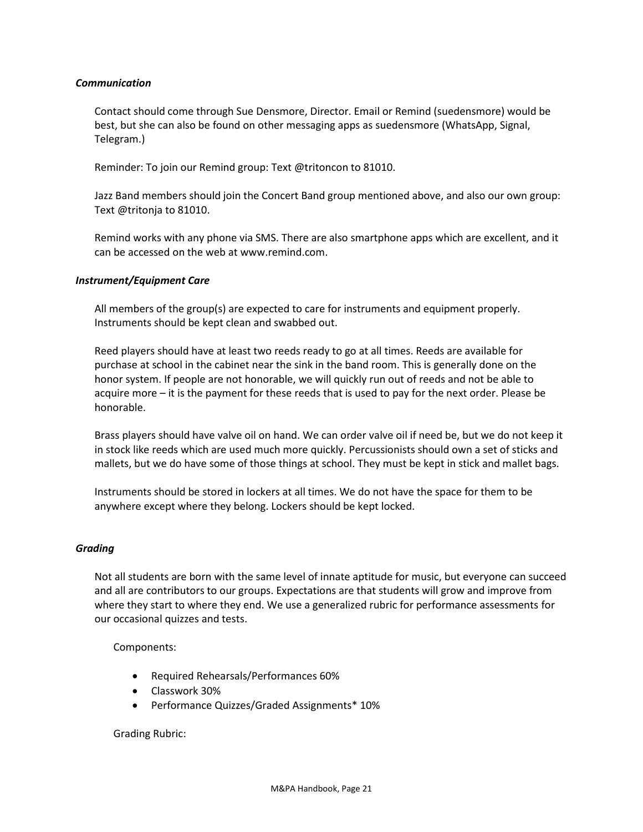## *Communication*

Contact should come through Sue Densmore, Director. Email or Remind (suedensmore) would be best, but she can also be found on other messaging apps as suedensmore (WhatsApp, Signal, Telegram.)

Reminder: To join our Remind group: Text @tritoncon to 81010.

Jazz Band members should join the Concert Band group mentioned above, and also our own group: Text @tritonja to 81010.

Remind works with any phone via SMS. There are also smartphone apps which are excellent, and it can be accessed on the web at www.remind.com.

### *Instrument/Equipment Care*

All members of the group(s) are expected to care for instruments and equipment properly. Instruments should be kept clean and swabbed out.

Reed players should have at least two reeds ready to go at all times. Reeds are available for purchase at school in the cabinet near the sink in the band room. This is generally done on the honor system. If people are not honorable, we will quickly run out of reeds and not be able to acquire more – it is the payment for these reeds that is used to pay for the next order. Please be honorable.

Brass players should have valve oil on hand. We can order valve oil if need be, but we do not keep it in stock like reeds which are used much more quickly. Percussionists should own a set of sticks and mallets, but we do have some of those things at school. They must be kept in stick and mallet bags.

Instruments should be stored in lockers at all times. We do not have the space for them to be anywhere except where they belong. Lockers should be kept locked.

### *Grading*

Not all students are born with the same level of innate aptitude for music, but everyone can succeed and all are contributors to our groups. Expectations are that students will grow and improve from where they start to where they end. We use a generalized rubric for performance assessments for our occasional quizzes and tests.

Components:

- Required Rehearsals/Performances 60%
- Classwork 30%
- Performance Quizzes/Graded Assignments\* 10%

### Grading Rubric: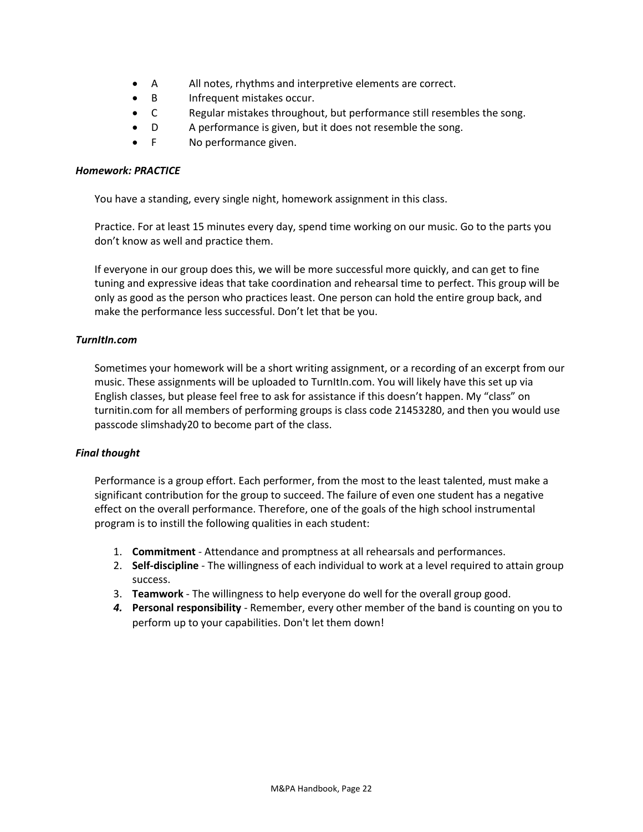- A All notes, rhythms and interpretive elements are correct.
- B Infrequent mistakes occur.
- C Regular mistakes throughout, but performance still resembles the song.
- D A performance is given, but it does not resemble the song.
- F No performance given.

## *Homework: PRACTICE*

You have a standing, every single night, homework assignment in this class.

Practice. For at least 15 minutes every day, spend time working on our music. Go to the parts you don't know as well and practice them.

If everyone in our group does this, we will be more successful more quickly, and can get to fine tuning and expressive ideas that take coordination and rehearsal time to perfect. This group will be only as good as the person who practices least. One person can hold the entire group back, and make the performance less successful. Don't let that be you.

## *TurnItIn.com*

Sometimes your homework will be a short writing assignment, or a recording of an excerpt from our music. These assignments will be uploaded to TurnItIn.com. You will likely have this set up via English classes, but please feel free to ask for assistance if this doesn't happen. My "class" on turnitin.com for all members of performing groups is class code 21453280, and then you would use passcode slimshady20 to become part of the class.

### *Final thought*

Performance is a group effort. Each performer, from the most to the least talented, must make a significant contribution for the group to succeed. The failure of even one student has a negative effect on the overall performance. Therefore, one of the goals of the high school instrumental program is to instill the following qualities in each student:

- 1. **Commitment** Attendance and promptness at all rehearsals and performances.
- 2. **Self-discipline** The willingness of each individual to work at a level required to attain group success.
- 3. **Teamwork** The willingness to help everyone do well for the overall group good.
- *4.* **Personal responsibility** Remember, every other member of the band is counting on you to perform up to your capabilities. Don't let them down!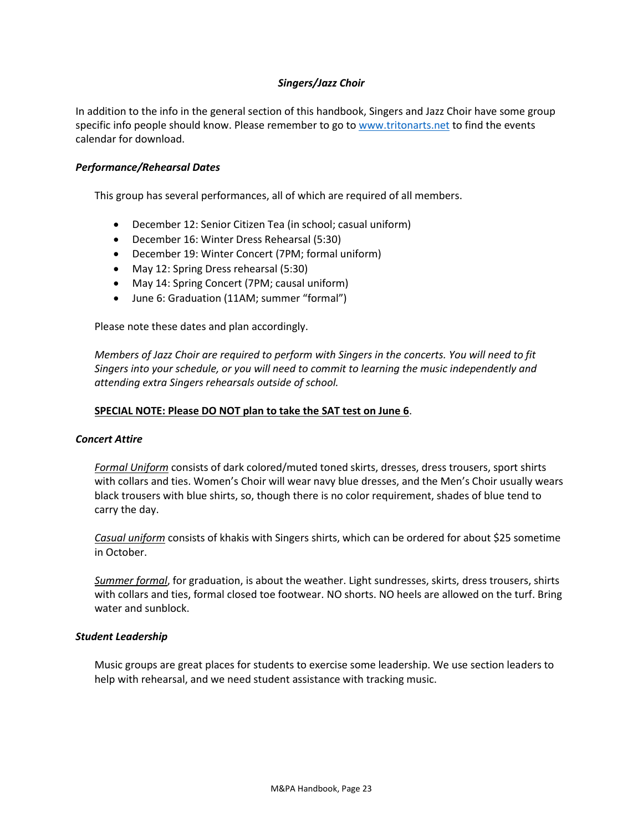# *Singers/Jazz Choir*

In addition to the info in the general section of this handbook, Singers and Jazz Choir have some group specific info people should know. Please remember to go t[o www.tritonarts.net](http://www.tritonarts.net/) to find the events calendar for download.

## *Performance/Rehearsal Dates*

This group has several performances, all of which are required of all members.

- December 12: Senior Citizen Tea (in school; casual uniform)
- December 16: Winter Dress Rehearsal (5:30)
- December 19: Winter Concert (7PM; formal uniform)
- May 12: Spring Dress rehearsal (5:30)
- May 14: Spring Concert (7PM; causal uniform)
- June 6: Graduation (11AM; summer "formal")

Please note these dates and plan accordingly.

*Members of Jazz Choir are required to perform with Singers in the concerts. You will need to fit Singers into your schedule, or you will need to commit to learning the music independently and attending extra Singers rehearsals outside of school.*

# **SPECIAL NOTE: Please DO NOT plan to take the SAT test on June 6**.

### *Concert Attire*

*Formal Uniform* consists of dark colored/muted toned skirts, dresses, dress trousers, sport shirts with collars and ties. Women's Choir will wear navy blue dresses, and the Men's Choir usually wears black trousers with blue shirts, so, though there is no color requirement, shades of blue tend to carry the day.

*Casual uniform* consists of khakis with Singers shirts, which can be ordered for about \$25 sometime in October.

*Summer formal*, for graduation, is about the weather. Light sundresses, skirts, dress trousers, shirts with collars and ties, formal closed toe footwear. NO shorts. NO heels are allowed on the turf. Bring water and sunblock.

### *Student Leadership*

Music groups are great places for students to exercise some leadership. We use section leaders to help with rehearsal, and we need student assistance with tracking music.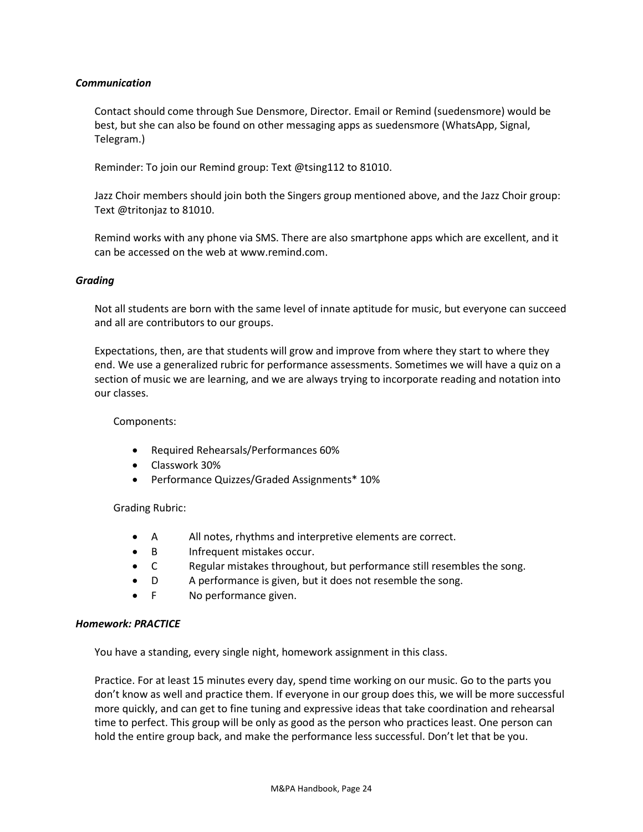## *Communication*

Contact should come through Sue Densmore, Director. Email or Remind (suedensmore) would be best, but she can also be found on other messaging apps as suedensmore (WhatsApp, Signal, Telegram.)

Reminder: To join our Remind group: Text @tsing112 to 81010.

Jazz Choir members should join both the Singers group mentioned above, and the Jazz Choir group: Text @tritonjaz to 81010.

Remind works with any phone via SMS. There are also smartphone apps which are excellent, and it can be accessed on the web at www.remind.com.

## *Grading*

Not all students are born with the same level of innate aptitude for music, but everyone can succeed and all are contributors to our groups.

Expectations, then, are that students will grow and improve from where they start to where they end. We use a generalized rubric for performance assessments. Sometimes we will have a quiz on a section of music we are learning, and we are always trying to incorporate reading and notation into our classes.

Components:

- Required Rehearsals/Performances 60%
- Classwork 30%
- Performance Quizzes/Graded Assignments\* 10%

Grading Rubric:

- A All notes, rhythms and interpretive elements are correct.
- B Infrequent mistakes occur.
- C Regular mistakes throughout, but performance still resembles the song.
- D A performance is given, but it does not resemble the song.
- F No performance given.

### *Homework: PRACTICE*

You have a standing, every single night, homework assignment in this class.

Practice. For at least 15 minutes every day, spend time working on our music. Go to the parts you don't know as well and practice them. If everyone in our group does this, we will be more successful more quickly, and can get to fine tuning and expressive ideas that take coordination and rehearsal time to perfect. This group will be only as good as the person who practices least. One person can hold the entire group back, and make the performance less successful. Don't let that be you.